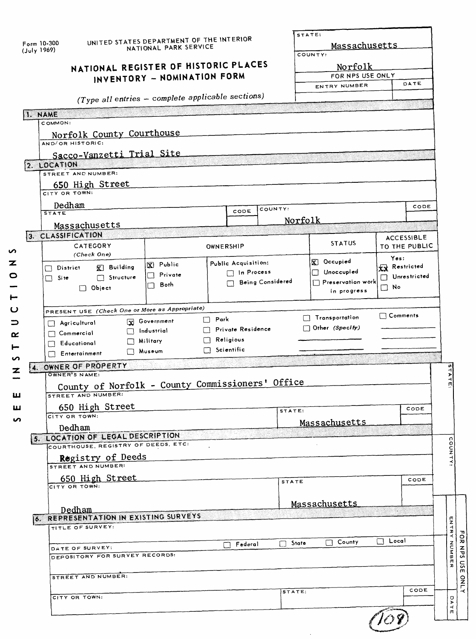|                  | Form 10-300<br>(July 1969)                                               | NATIONAL REGISTER OF HISTORIC PLACES                                                                               | UNITED STATES DEPARTMENT OF THE INTERIOR<br>NATIONAL PARK SERVICE<br>INVENTORY - NOMINATION FORM |                                  |                                          |                  | STATE:<br>Massachusetts<br>COUNTY:<br>Norfolk<br>FOR NPS USE ONLY<br>ENTRY NUMBER |                                                              | DATE                               |                                          |
|------------------|--------------------------------------------------------------------------|--------------------------------------------------------------------------------------------------------------------|--------------------------------------------------------------------------------------------------|----------------------------------|------------------------------------------|------------------|-----------------------------------------------------------------------------------|--------------------------------------------------------------|------------------------------------|------------------------------------------|
|                  |                                                                          | (Type all entries - complete applicable sections)                                                                  |                                                                                                  |                                  |                                          |                  |                                                                                   |                                                              |                                    |                                          |
|                  | 1. NAME                                                                  |                                                                                                                    |                                                                                                  |                                  |                                          |                  |                                                                                   |                                                              |                                    |                                          |
|                  | COMMON:<br>AND/OR HISTORIC:<br>2. LOCATION<br>CITY OR TOWN:              | Norfolk County Courthouse<br>Sacco-Vanzetti Trial Site<br>STREET AND NUMBER:<br>650 High Street                    |                                                                                                  |                                  |                                          |                  |                                                                                   |                                                              |                                    |                                          |
|                  | Dedham                                                                   |                                                                                                                    |                                                                                                  |                                  |                                          | COUNTY:          |                                                                                   |                                                              | CODE                               |                                          |
|                  | <b>STATE</b>                                                             |                                                                                                                    |                                                                                                  |                                  | CODE                                     |                  | Norfolk                                                                           |                                                              |                                    |                                          |
|                  | 3. CLASSIFICATION                                                        | Massachusetts                                                                                                      |                                                                                                  |                                  |                                          |                  |                                                                                   |                                                              |                                    |                                          |
| い                |                                                                          | CATEGORY                                                                                                           |                                                                                                  | OWNERSHIP                        |                                          |                  | <b>STATUS</b>                                                                     |                                                              | <b>ACCESSIBLE</b><br>TO THE PUBLIC |                                          |
| z<br>0           | District<br>└<br>Si te<br>$\Box$                                         | (Check One)<br>$\mathbf{K}$ Building<br>Structure<br>$\Box$ Object                                                 | X Public<br>Private<br>U<br>Both<br>П                                                            |                                  | Public Acquisition:<br>$\Box$ In Process | Being Considered | $\bar{x}$ Occupied<br>Unoccupied<br>$\Box$ Preservation work<br>in progress       | Yes:<br><b>XX</b> Restricted<br>Unrestricted<br>No<br>$\Box$ |                                    |                                          |
| ပ                |                                                                          | PRESENT USE (Check One or More as Appropriate)                                                                     | Transportation                                                                                   | $\Box$ Comments                  |                                          |                  |                                                                                   |                                                              |                                    |                                          |
| ⊃<br>≃<br>⊷<br>n | Agricultural<br>$\Box$ Commercial<br>$\Box$ Educational<br>Entertainment |                                                                                                                    | <b>x</b> Government<br>$\Box$ Industrial<br>Military<br>Nuseum                                   | $\Box$ Park<br>$\Box$ Scientific | Private Residence<br>Religious           |                  | $\Box$ Other (Specity)                                                            |                                                              |                                    |                                          |
| z<br>ш           | W.<br>OWNER'S NAME:                                                      | OWNER OF PROPERTY<br>County of Norfolk - County Commissioners' Office<br>STREET AND NUMBER:                        |                                                                                                  |                                  |                                          |                  |                                                                                   |                                                              |                                    | ATE.                                     |
| ш                |                                                                          | 650 High Street                                                                                                    |                                                                                                  |                                  |                                          | STATE:           |                                                                                   |                                                              | CODE                               |                                          |
| n                | CITY OR TOWN:                                                            |                                                                                                                    |                                                                                                  |                                  |                                          |                  | Massachusetts                                                                     |                                                              |                                    |                                          |
|                  | Dedham                                                                   | 5. LOCATION OF LEGAL DESCRIPTION<br>COURTHOUSE, REGISTRY OF DEEDS, ETC:<br>Registry of Deeds<br>STREET AND NUMBER: |                                                                                                  |                                  |                                          |                  |                                                                                   |                                                              |                                    | COUNTY:                                  |
|                  |                                                                          | 650 High Street                                                                                                    |                                                                                                  |                                  |                                          | STATE            |                                                                                   |                                                              | CODE                               |                                          |
|                  | CITY OR TOWN:<br>Dedham                                                  | <b>6. REPRESENTATION IN EXISTING SURVEYS</b>                                                                       |                                                                                                  |                                  |                                          |                  | Massachusetts                                                                     |                                                              |                                    |                                          |
|                  |                                                                          | TITLE OF SURVEY:                                                                                                   |                                                                                                  |                                  |                                          |                  |                                                                                   | $\Box$ Local                                                 |                                    |                                          |
|                  |                                                                          | DATE OF SURVEY:<br>DEPOSITORY FOR SURVEY RECORDS:                                                                  |                                                                                                  |                                  | Federal                                  | $\Box$ State     | $\Box$ County                                                                     |                                                              |                                    | <b>ENTRY NUMBE</b><br>$\boldsymbol{\pi}$ |
|                  |                                                                          | STREET AND NUMBER:                                                                                                 |                                                                                                  |                                  |                                          |                  |                                                                                   |                                                              |                                    |                                          |
|                  |                                                                          | CITY OR TOWN:                                                                                                      |                                                                                                  |                                  |                                          | STATE:           |                                                                                   |                                                              | CODE                               | DATE                                     |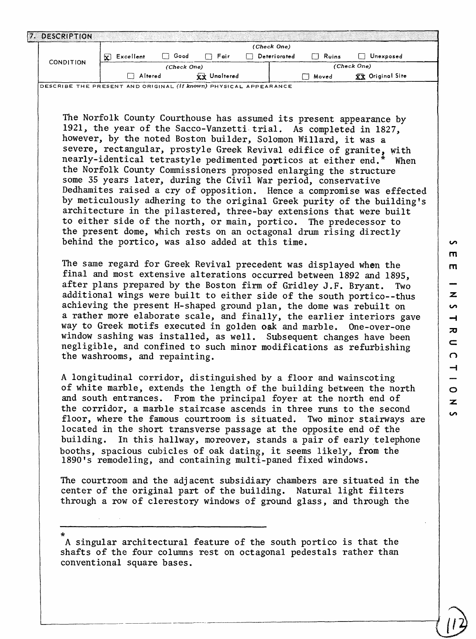| S                        |
|--------------------------|
| т                        |
| m                        |
|                          |
|                          |
| z                        |
| S                        |
| ᆋ                        |
| ᅎ                        |
|                          |
| $\mathbf{C}$             |
| $\Omega$                 |
| $\overline{\phantom{0}}$ |
|                          |
| $\circ$                  |
|                          |
| z                        |
| u<br>h                   |

 $\binom{12}{ }$ 

| 7. DESCRIPTION                                                                                                                               |                                                                                                                                                                                                                                                                                                                                                                                                                                                             |             |                     | (Check One)         |              |                                                                                                                                                                                                                                                                                                                                                                                                                                                                                                                                                                                                                                                                                                                                                                                                                                                                                                                                                                                                                                                                                                                                                                                                                |
|----------------------------------------------------------------------------------------------------------------------------------------------|-------------------------------------------------------------------------------------------------------------------------------------------------------------------------------------------------------------------------------------------------------------------------------------------------------------------------------------------------------------------------------------------------------------------------------------------------------------|-------------|---------------------|---------------------|--------------|----------------------------------------------------------------------------------------------------------------------------------------------------------------------------------------------------------------------------------------------------------------------------------------------------------------------------------------------------------------------------------------------------------------------------------------------------------------------------------------------------------------------------------------------------------------------------------------------------------------------------------------------------------------------------------------------------------------------------------------------------------------------------------------------------------------------------------------------------------------------------------------------------------------------------------------------------------------------------------------------------------------------------------------------------------------------------------------------------------------------------------------------------------------------------------------------------------------|
|                                                                                                                                              | $\mathbf{x}$ Excellent                                                                                                                                                                                                                                                                                                                                                                                                                                      | $\Box$ Good | $\Box$ Fair         | $\Box$ Deteriorated | $\Box$ Ruins | Unexposed                                                                                                                                                                                                                                                                                                                                                                                                                                                                                                                                                                                                                                                                                                                                                                                                                                                                                                                                                                                                                                                                                                                                                                                                      |
| <b>CONDITION</b>                                                                                                                             |                                                                                                                                                                                                                                                                                                                                                                                                                                                             | (Check One) |                     |                     |              | (Check One)                                                                                                                                                                                                                                                                                                                                                                                                                                                                                                                                                                                                                                                                                                                                                                                                                                                                                                                                                                                                                                                                                                                                                                                                    |
|                                                                                                                                              | Altered                                                                                                                                                                                                                                                                                                                                                                                                                                                     |             | <b>XX</b> Unaltered |                     | Noved        | XX Original Site                                                                                                                                                                                                                                                                                                                                                                                                                                                                                                                                                                                                                                                                                                                                                                                                                                                                                                                                                                                                                                                                                                                                                                                               |
|                                                                                                                                              | DESCRIBE THE PRESENT AND ORIGINAL (if known) PHYSICAL APPEARANCE<br>however, by the noted Boston builder, Solomon Willard, it was a<br>the Norfolk County Commissioners proposed enlarging the structure<br>some 35 years later, during the Civil War period, conservative<br>behind the portico, was also added at this time.<br>after plans prepared by the Boston firm of Gridley J.F. Bryant.<br>way to Greek motifs executed in golden oak and marble. |             |                     |                     |              | The Norfolk County Courthouse has assumed its present appearance by<br>1921, the year of the Sacco-Vanzetti trial. As completed in 1827,<br>severe, rectangular, prostyle Greek Revival edifice of granite, with<br>nearly-identical tetrastyle pedimented porticos at either end.* When<br>Dedhamites raised a cry of opposition. Hence a compromise was effected<br>by meticulously adhering to the original Greek purity of the building's<br>architecture in the pilastered, three-bay extensions that were built<br>to either side of the north, or main, portico. The predecessor to<br>the present dome, which rests on an octagonal drum rising directly<br>The same regard for Greek Revival precedent was displayed when the<br>final and most extensive alterations occurred between 1892 and 1895,<br>Two<br>additional wings were built to either side of the south portico--thus<br>achieving the present H-shaped ground plan, the dome was rebuilt on<br>a rather more elaborate scale, and finally, the earlier interiors gave<br>One-over-one<br>window sashing was installed, as well. Subsequent changes have been<br>negligible, and confined to such minor modifications as refurbishing |
| The courtroom and the adjacent subsidiary chambers are situated in the<br>center of the original part of the building. Natural light filters | the washrooms, and repainting.<br>A longitudinal corridor, distinguished by a floor and wainscoting<br>booths, spacious cubicles of oak dating, it seems likely, from the<br>1890's remodeling, and containing multi-paned fixed windows.                                                                                                                                                                                                                   |             |                     |                     |              | of white marble, extends the length of the building between the north<br>and south entrances. From the principal foyer at the north end of<br>the corridor, a marble staircase ascends in three runs to the second<br>floor, where the famous courtroom is situated. Two minor stairways are<br>located in the short transverse passage at the opposite end of the<br>building. In this hallway, moreover, stands a pair of early telephone                                                                                                                                                                                                                                                                                                                                                                                                                                                                                                                                                                                                                                                                                                                                                                    |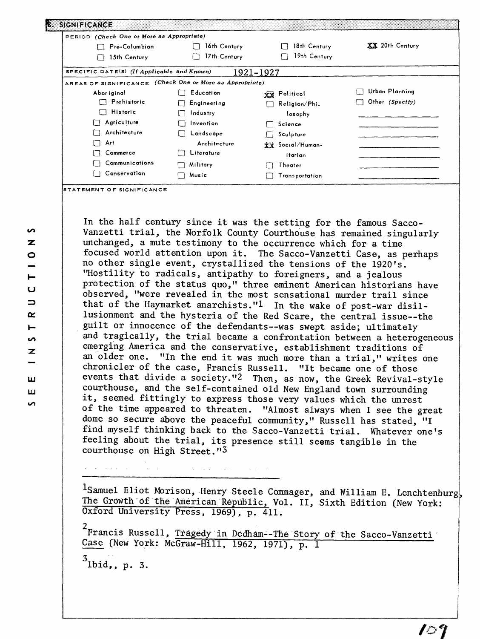| PERIOD (Check One or More as Appropriate)                |                  |                           |                        |
|----------------------------------------------------------|------------------|---------------------------|------------------------|
| Pre-Columbian                                            | 16th Century     | 18th Century              | <b>XX</b> 20th Century |
| 15th Century                                             | 17th Century     | 19th Century              |                        |
| SPECIFIC DATE(S) (If Applicable and Known)               |                  | 1921-1927                 |                        |
| AREAS OF SIGNIFICANCE (Check One or More as Appropriate) |                  |                           |                        |
| Abor iginal                                              | Education        | XX Politicol              | Urban Planning         |
| <b>Prehistoric</b>                                       | Engineering      | Religion/Phi-<br>I.       | Other (Specify)        |
| $\Box$ Historic                                          | <b>Industry</b>  | losophy                   |                        |
| Agriculture<br>IП                                        | Invention        | Science<br>$\blacksquare$ |                        |
| Architecture                                             | Landscape        | Sculpture                 |                        |
| Art<br>$\Box$                                            | Architecture     | XX Social/Human-          |                        |
| Commerce                                                 | Literature<br>11 | itarian                   |                        |
| Communications                                           | Military         | Theater                   |                        |
| Conservation                                             | Music            | Transportation            |                        |

In the half century since it was the setting for the famous Sacco-Vanzetti trial, the Norfolk County Courthouse has remained singularly unchanged, a mute testimony to the occurrence which for a time focused world attention upon it. The Sacco-Vanzetti Case, as perhaps no other single event, crystallized the tensions of the 1920's. "Hostility to radicals, antipathy to foreigners, and a jealous protection of the status quo," three eminent American historians have observed, "were revealed in the most sensational murder trail since that of the Haymarket anarchists."! In the wake of post-war disillusionment and the hysteria of the Red Scare, the central issue--the guilt or innocence of the defendants--was swept aside; ultimately and tragically, the trial became a confrontation between a heterogeneous emerging America and the conservative, establishment traditions of an older one. "In the end it was much more than a trial," writes one chronicler of the case, Francis Russell. "It became one of those events that divide a society."2 Then, as now, the Greek Revival-style courthouse, and the self-contained old New England town surrounding it, seemed fittingly to express those very values which the unrest of the time appeared to threaten. "Almost always when I see the great dome so secure above the peaceful community," Russell has stated, "I find myself thinking back to the Sacco-Vanzetti trial. Whatever one's feeling about the trial, its presence still seems tangible in the courthouse on High Street."3

<sup>1</sup>Samuel Eliot Morison, Henry Steele Commager, and William E. Lenchtenburg, The Growth of the American Republic, Vol. II, Sixth Edition (New York: Oxford University Press, 1969), p. 411.

<sup>2</sup><br>Francis Russell, <u>Trag</u>edy in Dedham--The Story of the Sacco-Vanzetti Case (New York: McGraw-Hill, 1962, 1971), p. 1

 $\mathcal{O}(n^2)$  and  $\mathcal{O}(n^2)$  and  $\mathcal{O}(n^2)$ 

 $3$  Ibid,, p. 3.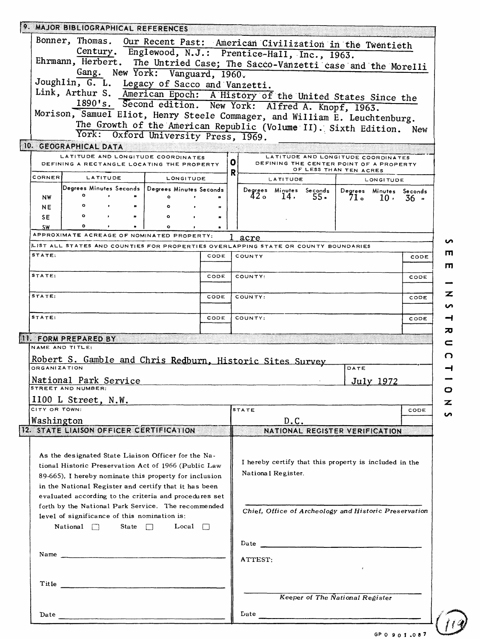|                     | 9. MAJOR BIBLIOGRAPHICAL REFERENCES                                                |                           |      |         |                                                                                                                                  |                                        |            |                                                     |      |
|---------------------|------------------------------------------------------------------------------------|---------------------------|------|---------|----------------------------------------------------------------------------------------------------------------------------------|----------------------------------------|------------|-----------------------------------------------------|------|
|                     | Bonner, Thomas. Our Recent Past: American Civilization in the Twentieth            |                           |      |         |                                                                                                                                  |                                        |            |                                                     |      |
|                     | Century. Englewood, N.J.: Prentice-Hall, Inc., 1963.                               |                           |      |         |                                                                                                                                  |                                        |            |                                                     |      |
|                     | Ehrmann, Herbert. The Untried Case; The Sacco-Vanzetti case and the Morelli        |                           |      |         |                                                                                                                                  |                                        |            |                                                     |      |
|                     | Gang. New York: Vanguard, 1960.                                                    |                           |      |         |                                                                                                                                  |                                        |            |                                                     |      |
|                     | Joughlin, G. L. Legacy of Sacco and Vanzetti.                                      |                           |      |         |                                                                                                                                  |                                        |            |                                                     |      |
|                     | Link, Arthur S. American Epoch: A History of the United States Since the           |                           |      |         |                                                                                                                                  |                                        |            |                                                     |      |
|                     | 1890's. Second edition. New York: Alfred A. Knopf, 1963.                           |                           |      |         |                                                                                                                                  |                                        |            |                                                     |      |
|                     | Morison, Samuel Eliot, Henry Steele Commager, and William E. Leuchtenburg.         |                           |      |         |                                                                                                                                  |                                        |            |                                                     |      |
|                     | The Growth of the American Republic (Volume II). Sixth Edition. New                |                           |      |         |                                                                                                                                  |                                        |            |                                                     |      |
|                     | York: Oxford University Press, 1969.                                               |                           |      |         |                                                                                                                                  |                                        |            |                                                     |      |
|                     | 10. GEOGRAPHICAL DATA                                                              |                           |      |         |                                                                                                                                  |                                        |            |                                                     |      |
|                     | LATITUDE AND LONGITUDE COORDINATES                                                 |                           |      |         | LATITUDE AND LONGITUDE COORDINATES                                                                                               |                                        |            |                                                     |      |
|                     | DEFINING A RECTANGLE LOCATING THE PROPERTY                                         |                           |      | o       | DEFINING THE CENTER POINT OF A PROPERTY                                                                                          |                                        |            |                                                     |      |
| CORNER              | LATITUDE                                                                           | LONGITUDE                 |      | R       | <b>LATITUDE</b>                                                                                                                  | OF LESS THAN TEN ACRES                 |            | LONGITUDE                                           |      |
|                     | Degrees Minutes Seconds   Degrees Minutes Seconds                                  |                           |      |         |                                                                                                                                  |                                        |            |                                                     |      |
| NW                  | $\circ$<br>$\bullet$                                                               | ۰                         |      |         | Degrees Minutes Seconds  <br>42 o<br>14.                                                                                         | $55-$                                  |            | Degrees Minutes Seconds<br>$71 \circ 10 \cdot 36$ " |      |
| <b>NE</b>           | $\circ$                                                                            | ۰                         |      |         |                                                                                                                                  |                                        |            |                                                     |      |
| SE.                 | $\circ$                                                                            | $\circ$                   |      |         |                                                                                                                                  |                                        |            |                                                     |      |
| SW                  | ۰                                                                                  | ۰                         |      |         |                                                                                                                                  |                                        |            |                                                     |      |
|                     | APPROXIMATE ACREAGE OF NOMINATED PROPERTY:                                         |                           |      | acre    |                                                                                                                                  |                                        |            |                                                     |      |
|                     | LIST ALL STATES AND COUNTIES FOR PROPERTIES OVERLAPPING STATE OR COUNTY BOUNDARIES |                           |      |         |                                                                                                                                  |                                        |            |                                                     |      |
| STATE:              |                                                                                    |                           | CODE | COUNTY  |                                                                                                                                  |                                        |            |                                                     | CODE |
|                     |                                                                                    |                           |      |         |                                                                                                                                  |                                        |            |                                                     |      |
| STATE:              |                                                                                    |                           |      |         |                                                                                                                                  |                                        |            |                                                     | CODE |
|                     |                                                                                    |                           | CODE | COUNTY: |                                                                                                                                  |                                        |            |                                                     |      |
|                     |                                                                                    |                           |      |         |                                                                                                                                  |                                        |            |                                                     |      |
|                     |                                                                                    |                           | CODE | COUNTY: |                                                                                                                                  |                                        |            |                                                     | CODE |
|                     |                                                                                    |                           |      |         |                                                                                                                                  |                                        |            |                                                     |      |
| STATE:<br>STATE:    |                                                                                    |                           | CODE | COUNTY: |                                                                                                                                  |                                        |            |                                                     | CODE |
|                     |                                                                                    |                           |      |         |                                                                                                                                  |                                        |            |                                                     |      |
|                     | 11. FORM PREPARED BY                                                               |                           |      |         |                                                                                                                                  |                                        |            |                                                     |      |
| NAME AND TITLE:     |                                                                                    |                           |      |         |                                                                                                                                  |                                        |            |                                                     |      |
|                     |                                                                                    |                           |      |         |                                                                                                                                  |                                        |            |                                                     |      |
| <b>ORGANIZATION</b> | Robert S. Gamble and Chris Redburn, Historic Sites Survey                          |                           |      |         |                                                                                                                                  |                                        | DATE       |                                                     |      |
|                     |                                                                                    |                           |      |         |                                                                                                                                  |                                        |            |                                                     |      |
|                     | National Park Service<br><b>STREET AND NUMBER:</b>                                 |                           |      |         |                                                                                                                                  |                                        |            | July 1972                                           |      |
|                     | 1100 L Street, N.W.                                                                |                           |      |         |                                                                                                                                  |                                        |            |                                                     |      |
| CITY OR TOWN:       |                                                                                    |                           |      | STATE   |                                                                                                                                  |                                        |            |                                                     | CODE |
|                     |                                                                                    |                           |      |         | D.C.                                                                                                                             |                                        |            |                                                     |      |
|                     |                                                                                    |                           |      |         |                                                                                                                                  |                                        |            |                                                     |      |
|                     | 12. STATE LIAISON OFFICER CERTIFICATION                                            |                           |      |         | NATIONAL REGISTER VERIFICATION                                                                                                   |                                        |            |                                                     |      |
| Washington          |                                                                                    |                           |      |         |                                                                                                                                  |                                        |            |                                                     |      |
|                     | As the designated State Liaison Officer for the Na-                                |                           |      |         |                                                                                                                                  |                                        |            |                                                     |      |
|                     | tional Historic Preservation Act of 1966 (Public Law                               |                           |      |         | I hereby certify that this property is included in the                                                                           |                                        |            |                                                     |      |
|                     | 89-665), I hereby nominate this property for inclusion                             |                           |      |         | National Register.                                                                                                               |                                        |            |                                                     |      |
|                     | in the National Register and certify that it has been                              |                           |      |         |                                                                                                                                  |                                        |            |                                                     |      |
|                     | evaluated according to the criteria and procedures set                             |                           |      |         |                                                                                                                                  |                                        |            |                                                     |      |
|                     | forth by the National Park Service. The recommended                                |                           |      |         | Chief, Office of Archeology and Historic Preservation                                                                            |                                        |            |                                                     |      |
|                     | level of significance of this nomination is:                                       |                           |      |         |                                                                                                                                  |                                        |            |                                                     |      |
|                     | National $\Box$                                                                    | State $\Box$ Local $\Box$ |      |         |                                                                                                                                  |                                        |            |                                                     |      |
|                     |                                                                                    |                           |      |         |                                                                                                                                  |                                        |            |                                                     |      |
|                     |                                                                                    |                           |      |         |                                                                                                                                  |                                        |            |                                                     |      |
|                     | Name                                                                               |                           |      | ATTEST: |                                                                                                                                  |                                        |            |                                                     |      |
|                     |                                                                                    |                           |      |         |                                                                                                                                  |                                        | $\epsilon$ |                                                     |      |
|                     |                                                                                    |                           |      |         |                                                                                                                                  |                                        |            |                                                     |      |
|                     |                                                                                    |                           |      |         |                                                                                                                                  |                                        |            |                                                     |      |
|                     |                                                                                    |                           |      |         |                                                                                                                                  | <b>Keeper of The National Register</b> |            |                                                     |      |
| Date                |                                                                                    |                           |      |         | $\begin{tabular}{ c c c } \hline \textbf{Date} & \textbf{0.00015} & \textbf{0.00015} & \textbf{0.00015} \\ \hline \end{tabular}$ |                                        |            |                                                     |      |

GP 0 9 0 1 .0 8 7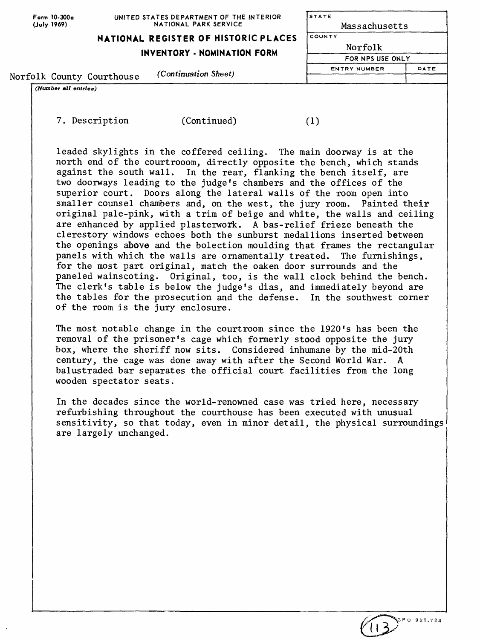| Form 10-300a |
|--------------|
| (July 1969)  |

**UNITED STATES DEPARTMENT OF THE INTERIOR NATIONAL PARK SERVICE**

**NATIONAL REGISTER OF HISTORIC PLACES** 

**INVENTORY - NOMINATION FORM**

| <b>STATE</b>        |      |
|---------------------|------|
| Massachusetts       |      |
| COUNTY              |      |
| Norfolk             |      |
| FOR NPS USE ONLY    |      |
| <b>ENTRY NUMBER</b> | DATE |

 $(1)$ 

Norfolk County Courthouse *(Continuation Sheet)*

*(Number all entries)*

7. Description (Continued)

leaded skylights in the coffered ceiling. The main doorway is at the north end of the courtrooom, directly opposite the bench, which stands against the south wall. In the rear, flanking the bench itself, are two doorways leading to the judge's chambers and the offices of the superior court. Doors along the lateral walls of the room open into smaller counsel chambers and, on the west, the jury room. Painted their original pale-pink, with a trim of beige and white, the walls and ceiling are enhanced by applied plasterwork. A bas-relief frieze beneath the clerestory windows echoes both the sunburst medallions inserted between the openings above and the bolection moulding that frames the rectangular<br>panels with which the walls are ornamentally treated. The furnishings, panels with which the walls are ornamentally treated. for the most part original, match the oaken door surrounds and the paneled wainscoting. Original, too, is the wall clock behind the bench. The clerk's table is below the judge's dias, and immediately beyond are the tables for the prosecution and the defense. In the southwest corner of the room is the jury enclosure.

The most notable change in the courtroom since the 1920's has been the removal of the prisoner's cage which formerly stood opposite the jury box, where the sheriff now sits. Considered inhumane by the mid-20th century, the cage was done away with after the Second World War. A balustraded bar separates the official court facilities from the long wooden spectator seats.

In the decades since the world-renowned case was tried here, necessary refurbishing throughout the courthouse has been executed with unusual sensitivity, so that today, even in minor detail, the physical surroundings are largely unchanged.

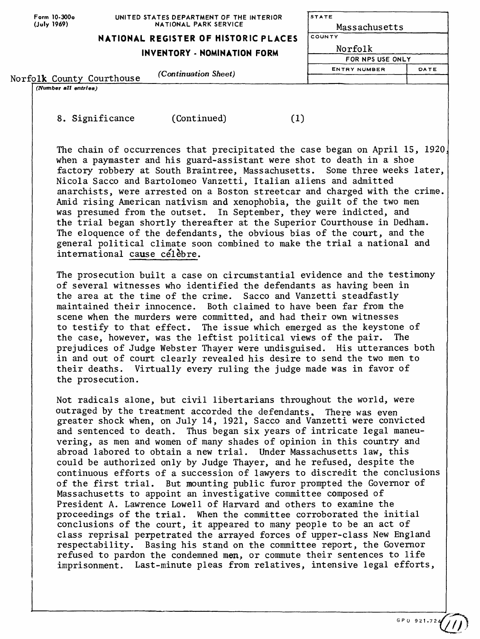**Form 10-300o (July 1969)**

## **UNITED STATES DEPARTMENT OF THE NATIONAL PARK SERVICE**

| UNITED STATES DEPARTMENT OF THE INTERIOR<br>NATIONAL PARK SERVICE | <b>STATE</b><br>Massachusetts |  |  |  |
|-------------------------------------------------------------------|-------------------------------|--|--|--|
| NATIONAL REGISTER OF HISTORIC PLACES                              | <b>COUNTY</b>                 |  |  |  |
| <b>INVENTORY - NOMINATION FORM</b>                                | Norfolk                       |  |  |  |
|                                                                   | FOR NPS USE ONLY              |  |  |  |
| (Continuation Sheet)                                              | <b>ENTRY NUMBER</b><br>DATE   |  |  |  |
|                                                                   |                               |  |  |  |

Norfolk County Courthouse *(Continuation Sheet)*

*(Number all entries)*

8. Significance (Continued)

The chain of occurrences that precipitated the case began on April 15, 1920, when a paymaster and his guard-assistant were shot to death in a shoe factory robbery at South Braintree, Massachusetts. Some three weeks later, Nicola Sacco and Bartolomeo Vanzetti, Italian aliens and admitted anarchists, were arrested on a Boston streetcar and charged with the crime. Amid rising American nativism and xenophobia, the guilt of the two men was presumed from the outset. In September, they were indicted, and the trial began shortly thereafter at the Superior Courthouse in Dedham. The eloquence of the defendants, the obvious bias of the court, and the general political climate soon combined to make the trial a national and international cause celebre.

 $(1)$ 

The prosecution built a case on circumstantial evidence and the testimony of several witnesses who identified the defendants as having been in the area at the time of the crime. Sacco and Vanzetti steadfastly maintained their innocence. Both claimed to have been far from the scene when the murders were committed, and had their own witnesses to testify to that effect. The issue which emerged as the keystone of the case, however, was the leftist political views of the pair. The prejudices of Judge Webster Thayer were undisguised. His utterances both in and out of court clearly revealed his desire to send the two men to their deaths. Virtually every ruling the judge made was in favor of the prosecution.

Not radicals alone, but civil libertarians throughout the world, were outraged by the treatment accorded the defendants. There was even greater shock when, on July 14, 1921, Sacco and Vanzetti were convicted and sentenced to death. Thus began six years of intricate legal maneuvering, as men and women of many shades of opinion in this country and abroad labored to obtain a new trial. Under Massachusetts law, this could be authorized only by Judge Thayer, and he refused, despite the continuous efforts of a succession of lawyers to discredit the conclusions of the first trial. But mounting public furor prompted the Governor of Massachusetts to appoint an investigative committee composed of President A. Lawrence Lowell of Harvard and others to examine the proceedings of the trial. When the committee corroborated the initial conclusions of the court, it appeared to many people to be an act of class reprisal perpetrated the arrayed forces of upper-class New England respectability. Basing his stand on the committee report, the Governor refused to pardon the condemned men, or commute their sentences to life imprisonment. Last-minute pleas from relatives, intensive legal efforts,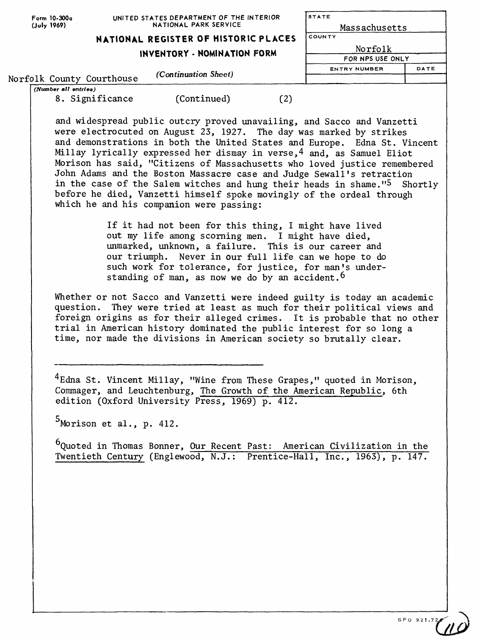| Form 10-300a<br>(July 1969) |                           | UNITED STATES DEPARTMENT OF THE INTERIOR<br>NATIONAL PARK SERVICE |     | STATE<br>Massachusetts      |      |  |
|-----------------------------|---------------------------|-------------------------------------------------------------------|-----|-----------------------------|------|--|
|                             |                           | NATIONAL REGISTER OF HISTORIC PLACES                              |     | <b>COUNTY</b>               |      |  |
|                             |                           | INVENTORY - NOMINATION FORM                                       |     | Norfolk<br>FOR NPS USE ONLY |      |  |
|                             |                           |                                                                   |     |                             |      |  |
|                             |                           |                                                                   |     | <b>ENTRY NUMBER</b>         | DATE |  |
|                             | Norfolk County Courthouse | (Continuation Sheet)                                              |     |                             |      |  |
| (Number all entries)        |                           |                                                                   |     |                             |      |  |
|                             | 8. Significance           | (Continued)                                                       | ו2' |                             |      |  |

and widespread public outcry proved unavailing, and Sacco and Vanzetti were electrocuted on August 23, 1927. The day was marked by strikes and demonstrations in both the United States and Europe. Edna St. Vincent Millay lyrically expressed her dismay in verse,4 and, as Samuel Eliot Morison has said, "Citizens of Massachusetts who loved justice remembered John Adams and the Boston Massacre case and Judge Sewall's retraction in the case of the Salem witches and hung their heads in shame."5 Shortly before he died, Vanzetti himself spoke movingly of the ordeal through which he and his companion were passing:

> If it had not been for this thing, I might have lived out my life among scorning men. I might have died, unmarked, unknown, a failure. This is our career and our triumph. Never in our full life can we hope to do such work for tolerance, for justice, for man's understanding of man, as now we do by an accident.  $6$

Whether or not Sacco and Vanzetti were indeed guilty is today an academic question. They were tried at least as much for their political views and foreign origins as for their alleged crimes. It is probable that no other trial in American history dominated the public interest for so long a time, nor made the divisions in American society so brutally clear.

 $4$ Edna St. Vincent Millay, "Wine from These Grapes," quoted in Morison, Commager, and Leuchtenburg, The Growth of the American Republic, 6th edition (Oxford University Press, 1969) p. 412.

 $5$ Morison et al., p. 412.

<sup>6</sup>Ouoted in Thomas Bonner, Our Recent Past: American Civilization in the Twentieth Century (Englewood, N.J.: Prentice-Hall, Inc., 1963), p. 147.